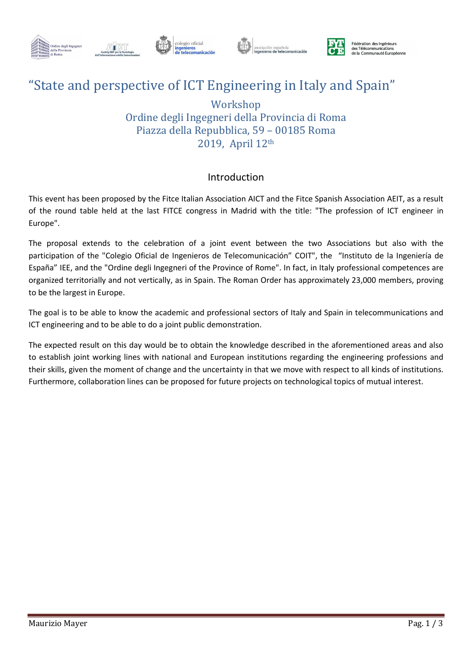









## "State and perspective of ICT Engineering in Italy and Spain"

### Workshop Ordine degli Ingegneri della Provincia di Roma Piazza della Repubblica, 59 – 00185 Roma 2019, April 12th

#### Introduction

This event has been proposed by the Fitce Italian Association AICT and the Fitce Spanish Association AEIT, as a result of the round table held at the last FITCE congress in Madrid with the title: "The profession of ICT engineer in Europe".

The proposal extends to the celebration of a joint event between the two Associations but also with the participation of the "Colegio Oficial de Ingenieros de Telecomunicación" COIT", the "Instituto de la Ingeniería de España" IEE, and the "Ordine degli Ingegneri of the Province of Rome". In fact, in Italy professional competences are organized territorially and not vertically, as in Spain. The Roman Order has approximately 23,000 members, proving to be the largest in Europe.

The goal is to be able to know the academic and professional sectors of Italy and Spain in telecommunications and ICT engineering and to be able to do a joint public demonstration.

The expected result on this day would be to obtain the knowledge described in the aforementioned areas and also to establish joint working lines with national and European institutions regarding the engineering professions and their skills, given the moment of change and the uncertainty in that we move with respect to all kinds of institutions. Furthermore, collaboration lines can be proposed for future projects on technological topics of mutual interest.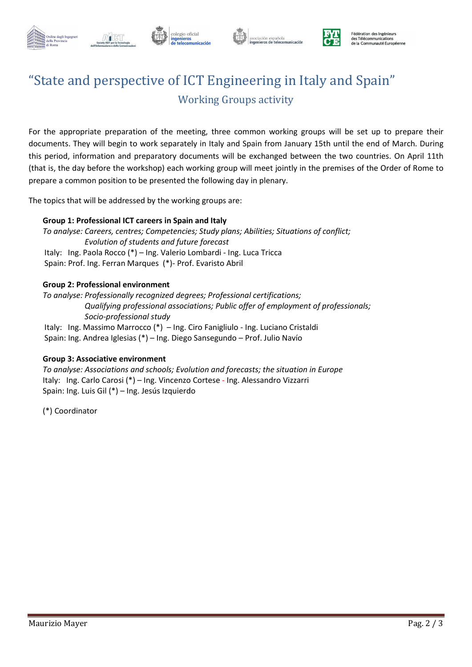



olegio oficial



Fédération des Ingénieurs des Télécommunications de la Communauté Européenne

## "State and perspective of ICT Engineering in Italy and Spain" Working Groups activity

For the appropriate preparation of the meeting, three common working groups will be set up to prepare their documents. They will begin to work separately in Italy and Spain from January 15th until the end of March. During this period, information and preparatory documents will be exchanged between the two countries. On April 11th (that is, the day before the workshop) each working group will meet jointly in the premises of the Order of Rome to prepare a common position to be presented the following day in plenary.

The topics that will be addressed by the working groups are:

#### Group 1: Professional ICT careers in Spain and Italy

To analyse: Careers, centres; Competencies; Study plans; Abilities; Situations of conflict; Evolution of students and future forecast Italy: Ing. Paola Rocco (\*) – Ing. Valerio Lombardi - Ing. Luca Tricca Spain: Prof. Ing. Ferran Marques (\*)- Prof. Evaristo Abril

#### Group 2: Professional environment

To analyse: Professionally recognized degrees; Professional certifications; Qualifying professional associations; Public offer of employment of professionals; Socio-professional study

 Italy: Ing. Massimo Marrocco (\*) – Ing. Ciro Fanigliulo - Ing. Luciano Cristaldi Spain: Ing. Andrea Iglesias (\*) – Ing. Diego Sansegundo – Prof. Julio Navío

#### Group 3: Associative environment

To analyse: Associations and schools; Evolution and forecasts; the situation in Europe Italy: Ing. Carlo Carosi (\*) – Ing. Vincenzo Cortese - Ing. Alessandro Vizzarri Spain: Ing. Luis Gil (\*) – Ing. Jesús Izquierdo

(\*) Coordinator